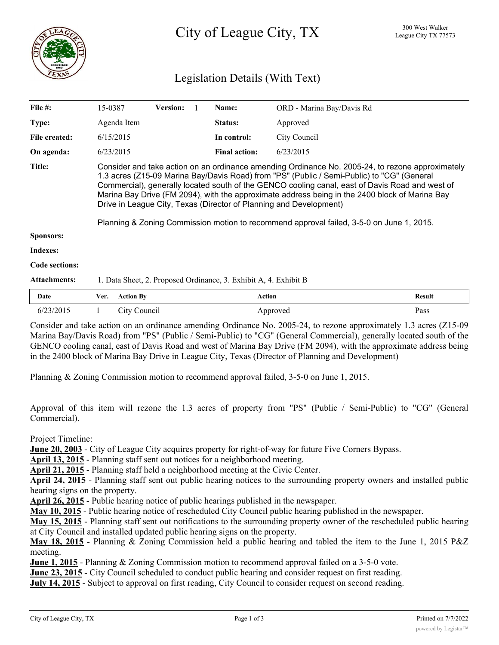

# Legislation Details (With Text)

| File $#$ :            | 15-0387                                                                                                                                                                                                                                                                                                                                                                                                                                                                                                                                                               | <b>Version:</b> |  | Name:                | ORD - Marina Bay/Davis Rd |               |
|-----------------------|-----------------------------------------------------------------------------------------------------------------------------------------------------------------------------------------------------------------------------------------------------------------------------------------------------------------------------------------------------------------------------------------------------------------------------------------------------------------------------------------------------------------------------------------------------------------------|-----------------|--|----------------------|---------------------------|---------------|
| Type:                 | Agenda Item                                                                                                                                                                                                                                                                                                                                                                                                                                                                                                                                                           |                 |  | Status:              | Approved                  |               |
| File created:         | 6/15/2015                                                                                                                                                                                                                                                                                                                                                                                                                                                                                                                                                             |                 |  | In control:          | City Council              |               |
| On agenda:            | 6/23/2015                                                                                                                                                                                                                                                                                                                                                                                                                                                                                                                                                             |                 |  | <b>Final action:</b> | 6/23/2015                 |               |
| <b>Title:</b>         | Consider and take action on an ordinance amending Ordinance No. 2005-24, to rezone approximately<br>1.3 acres (Z15-09 Marina Bay/Davis Road) from "PS" (Public / Semi-Public) to "CG" (General<br>Commercial), generally located south of the GENCO cooling canal, east of Davis Road and west of<br>Marina Bay Drive (FM 2094), with the approximate address being in the 2400 block of Marina Bay<br>Drive in League City, Texas (Director of Planning and Development)<br>Planning & Zoning Commission motion to recommend approval failed, 3-5-0 on June 1, 2015. |                 |  |                      |                           |               |
| Sponsors:             |                                                                                                                                                                                                                                                                                                                                                                                                                                                                                                                                                                       |                 |  |                      |                           |               |
| <b>Indexes:</b>       |                                                                                                                                                                                                                                                                                                                                                                                                                                                                                                                                                                       |                 |  |                      |                           |               |
| <b>Code sections:</b> |                                                                                                                                                                                                                                                                                                                                                                                                                                                                                                                                                                       |                 |  |                      |                           |               |
| <b>Attachments:</b>   | 1. Data Sheet, 2. Proposed Ordinance, 3. Exhibit A, 4. Exhibit B                                                                                                                                                                                                                                                                                                                                                                                                                                                                                                      |                 |  |                      |                           |               |
| Date                  | <b>Action By</b><br>Ver.                                                                                                                                                                                                                                                                                                                                                                                                                                                                                                                                              |                 |  | <b>Action</b>        |                           | <b>Result</b> |

6/23/2015 1 City Council Approved Pass Consider and take action on an ordinance amending Ordinance No. 2005-24, to rezone approximately 1.3 acres (Z15-09 Marina Bay/Davis Road) from "PS" (Public / Semi-Public) to "CG" (General Commercial), generally located south of the GENCO cooling canal, east of Davis Road and west of Marina Bay Drive (FM 2094), with the approximate address being

Planning & Zoning Commission motion to recommend approval failed, 3-5-0 on June 1, 2015.

in the 2400 block of Marina Bay Drive in League City, Texas (Director of Planning and Development)

Approval of this item will rezone the 1.3 acres of property from "PS" (Public / Semi-Public) to "CG" (General Commercial).

Project Timeline:

**June 20, 2003** - City of League City acquires property for right-of-way for future Five Corners Bypass.

**April 13, 2015** - Planning staff sent out notices for a neighborhood meeting.

**April 21, 2015** - Planning staff held a neighborhood meeting at the Civic Center.

**April 24, 2015** - Planning staff sent out public hearing notices to the surrounding property owners and installed public hearing signs on the property.

**April 26, 2015** - Public hearing notice of public hearings published in the newspaper.

**May 10, 2015** - Public hearing notice of rescheduled City Council public hearing published in the newspaper.

**May 15, 2015** - Planning staff sent out notifications to the surrounding property owner of the rescheduled public hearing at City Council and installed updated public hearing signs on the property.

**May 18, 2015** - Planning & Zoning Commission held a public hearing and tabled the item to the June 1, 2015 P&Z meeting.

**June 1, 2015** - Planning & Zoning Commission motion to recommend approval failed on a 3-5-0 vote.

**June 23, 2015** - City Council scheduled to conduct public hearing and consider request on first reading.

**July 14, 2015** - Subject to approval on first reading, City Council to consider request on second reading.